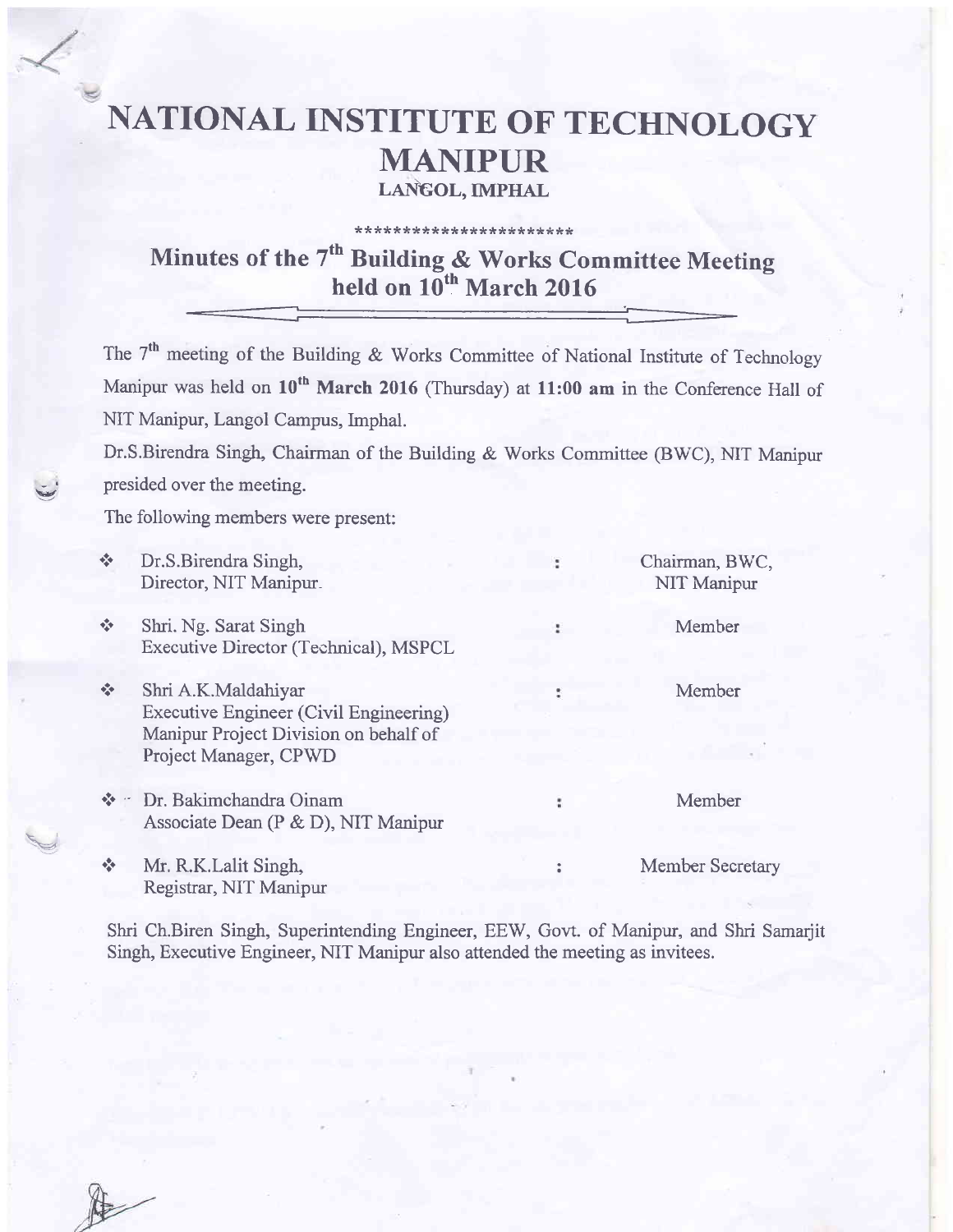# NATIONAL INSTITUTE OF TECHNOLOGY MANIPUR LANGOL, IMPHAL

#### \*\*\*\*\*\*\*\*\*\*\*\*\*\*\*\*\*\*\*\*\*\*\*

## Minutes of the 7<sup>th</sup> Building & Works Committee Meeting held on  $10^{th}$  March 2016

The 7<sup>th</sup> meeting of the Building & Works Committee of National Institute of Technology Manipur was held on  $10^{th}$  March 2016 (Thursday) at 11:00 am in the Conference Hall of NIT Manipur, Langol Campus, Imphal.

Dr.S.Birendra Singh, Chairman of the Building & Works Committee (BWC), NIT Manipur presided over the meeting.

The following members were present:

| $\Phi_{\mathbf{q}}^{\Phi_{\mathbf{q}}^{\mathbf{q}}}$                                                                                                                                                                                                                                                                                                                                                     | Dr.S.Birendra Singh,<br>Director, NIT Manipur.                                                                                         | Chairman, BWC,<br>NIT Manipur |
|----------------------------------------------------------------------------------------------------------------------------------------------------------------------------------------------------------------------------------------------------------------------------------------------------------------------------------------------------------------------------------------------------------|----------------------------------------------------------------------------------------------------------------------------------------|-------------------------------|
| $\Phi_{\rm eff}^{\rm 2D}$                                                                                                                                                                                                                                                                                                                                                                                | Shri. Ng. Sarat Singh<br>Executive Director (Technical), MSPCL                                                                         | Member                        |
| $\Phi_{\rm eff}^{\rm R}$                                                                                                                                                                                                                                                                                                                                                                                 | Shri A.K.Maldahiyar<br><b>Executive Engineer (Civil Engineering)</b><br>Manipur Project Division on behalf of<br>Project Manager, CPWD | Member                        |
| $\label{eq:2.1} \Phi_{\mu\nu}^{\mu\nu} \Phi_{\nu\lambda} = -\frac{1}{2} \frac{1}{\hbar} \frac{1}{\hbar} \frac{1}{\hbar} \frac{1}{\hbar} \frac{1}{\hbar} \frac{1}{\hbar} \frac{1}{\hbar} \frac{1}{\hbar} \frac{1}{\hbar} \frac{1}{\hbar} \frac{1}{\hbar} \frac{1}{\hbar} \frac{1}{\hbar} \frac{1}{\hbar} \frac{1}{\hbar} \frac{1}{\hbar} \frac{1}{\hbar} \frac{1}{\hbar} \frac{1}{\hbar} \frac{1}{\hbar}$ | Dr. Bakimchandra Oinam<br>Associate Dean (P & D), NIT Manipur                                                                          | Member                        |
| $\sigma_{\rm eff}^{\rm R}$                                                                                                                                                                                                                                                                                                                                                                               | Mr. R.K.Lalit Singh,<br>Registrar, NIT Manipur                                                                                         | Member Secretary              |

Shri Ch.Biren Singh, Superintending Engineer, EEW, Govt. of Manipur, and Shri Samarjit Singh, Executive Engineer, NIT Manipur also attended the meeting as invitees.



**VALLES**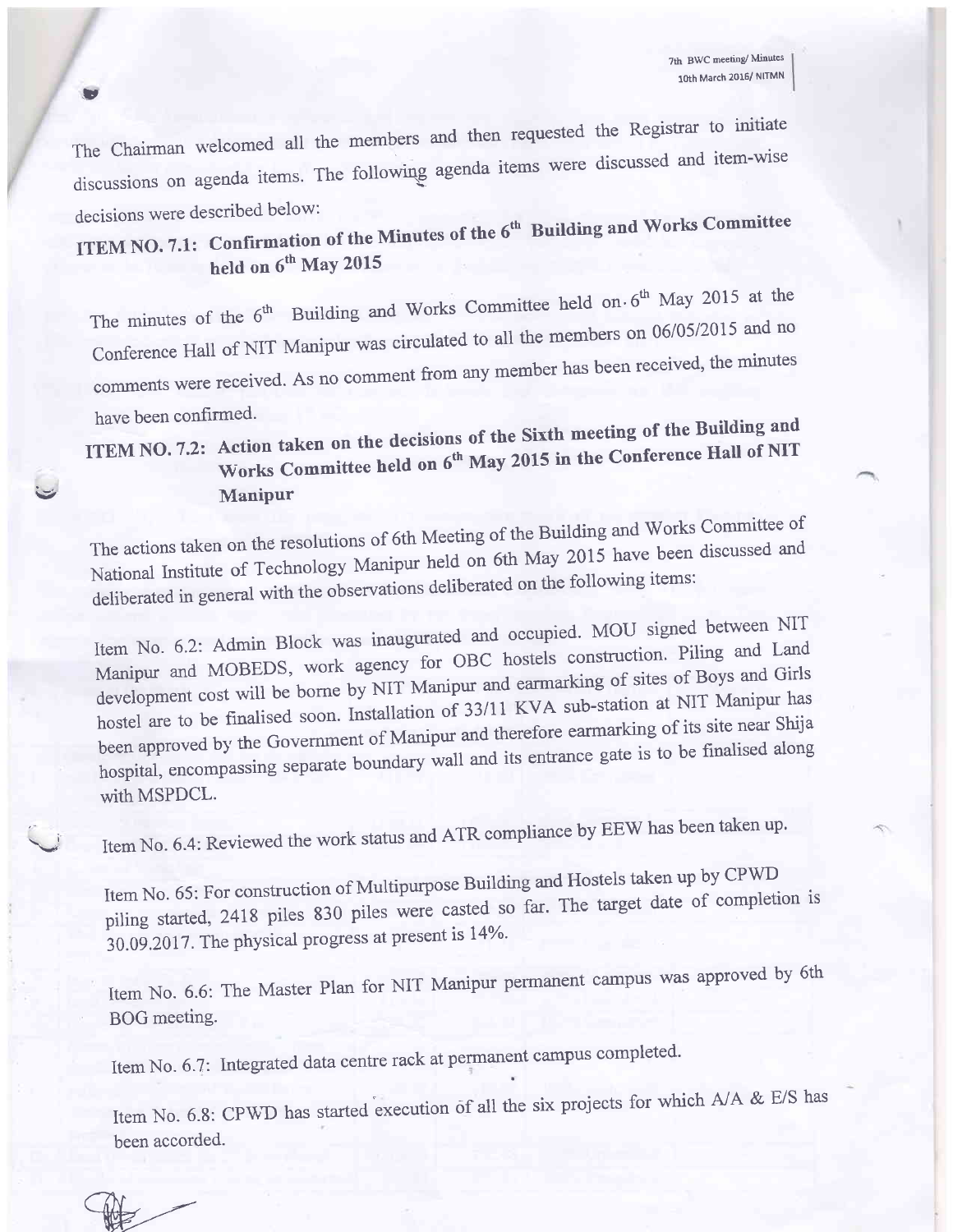decisions were described below: The chairman welcomed all the members and then requested the Registrar to initiate discussions on agenda items. The following agenda items were discussed and item-wise<br>decisions were described below:

tt

 $\n *W*$ 

**ITEM NO. 7.1:** held on 6<sup>th</sup> May 2015 of the  $6^{\rm th}$  Building and Works Committee

The minutes of the  $6<sup>th</sup>$  Building and Works Committee held on  $6<sup>th</sup>$  May 2015 at the Conference Hall of NIT Manipur was circulated to all the members on 06/05/2015 and no comments were received. As no comment from any member has been received, the minutes

## have been confirmed.<br>ITEM NO. 7.2: Action taken on the decisions of the Sixth meeting of the Building and<br> $\frac{f_{\text{th}}}{f_{\text{max}}}$  and  $\frac{f_{\text{th}}}{f_{\text{max}}}$  and  $\frac{f_{\text{th}}}{f_{\text{max}}}$  and  $\frac{f_{\text{th}}}{f_{\text{max}}}$  and  $\frac{f_{\text{th}}}{f_{\text$ Works Committee held on 6<sup>th</sup> May 2015 in the Conference Hall of NIT Manipur

The actions taken on the resolutions of 6th Meeting of the Bu'ding and works committee of National Institute of Technology Manipur held on 6th May 2015 have been discussed and deliberated in general with the observations deliberated on the following items:

Item No. 6.2: Admin Block was inaugurated and occupied. MOU signed between NIT Manipur and MOBEDS, work agency for OBC hostels construction. Piling and Land development cost will be borne by NIT Manipur and earmarking of sites of Boys and Girls hostel are to be finalised soon. Installation of 33/11 KVA sub-station at NIT Manipur has been approved by the Government of Manipur and therefore earmarking of its site near shija hospital, encompassing separate boundary wall and its entrance gate is to be finalised along with MSPDCL.

Item No. 6.4: Reviewed the work status and ATR compliance by EEW has been taken up.

Item No. 65: For construction of Multipurpose Building and Hostels taken up by CPWD piling started, 2418 piles 830 piles were casted so far. The target date of completion is  $30.09.2017$ . The physical progress at present is  $14\%$ .

Item No. 6.6: The Master Plan for NIT Manipur pennanent campus was approved by 6th BOG meeting.

Item No. 6.7: Integrated data centre rack at permanent campus completed.

Item No. 6.8: CPWD has started execution of all the six projects for which A/A & E/S has been accorded.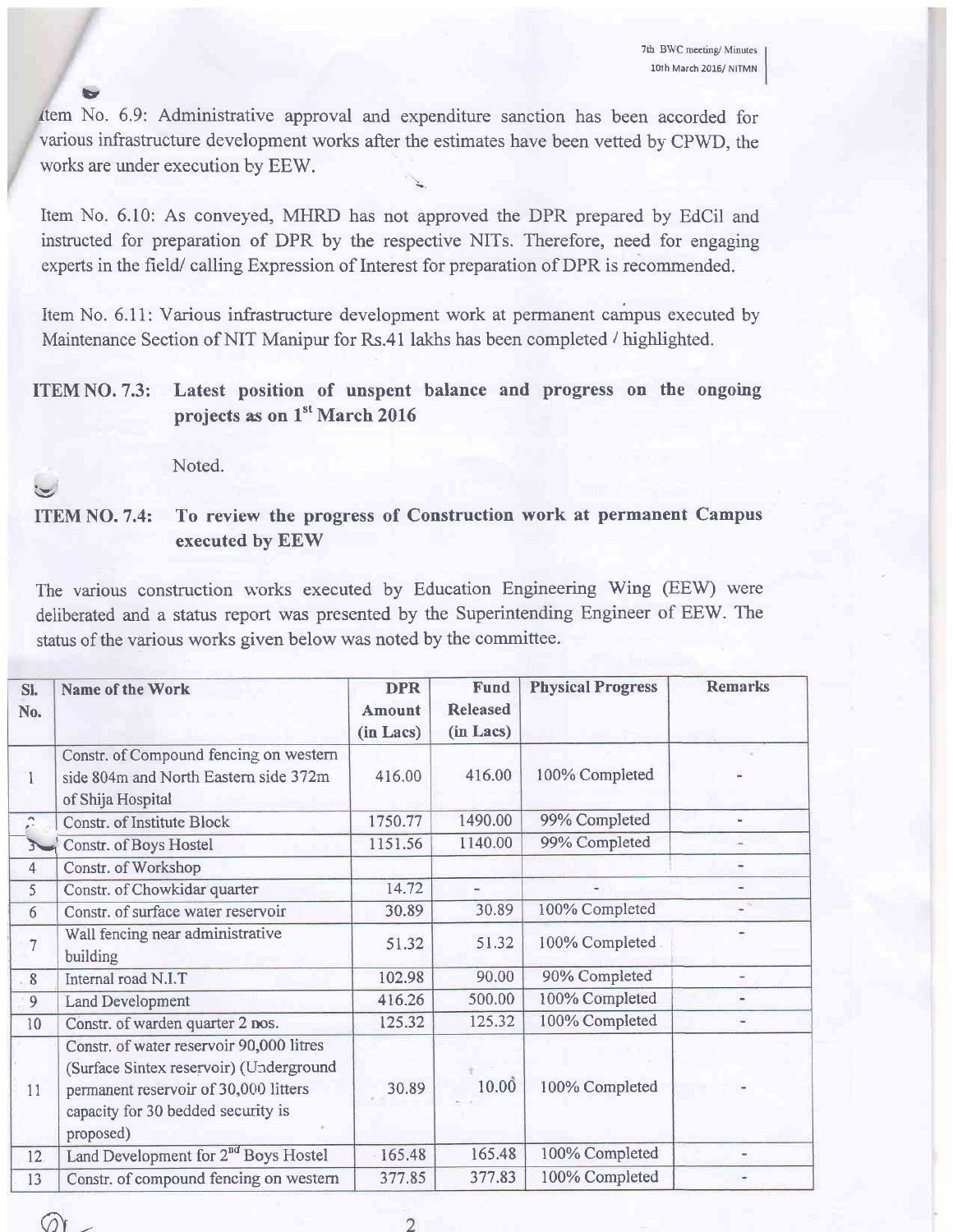v ltem No. 6.9: Administrative approval and expenditure sanction has been accorded for various infrastructure development works after the estimates have been vetted by CPWD, the works are under execution by EEW.

Item No. 6.10: As conveyed, MHRD has not approved the DPR prepared by EdCil and instructed for preparation of DPR by the respective NITs. Therefore, need for engaging experts in the field/ calling Expression of Interest for preparation of DPR is recommended.

Item No. 6.11: Various infrastructure development work at permanent campus executed by Maintenance Section of NIT Manipur for Rs.41 lakhs has been completed / highlighted.

### ITEM NO. 7.3: Latest position of unspent balance and progress on the ongoing projects as on 1<sup>st</sup> March 2016

Noted.

 $\mathcal{O}^+$ 

v ITEM NO. 7.4: To review the progress of Construction work at permanent Campus executed by EEW

The various construction works executed by Education Engineering Wing (EEW) were deliberated and a status report was presented by the Superintending Engineer of EEW. The status of the various works given below was noted by the committee.

| SI.<br>No.     | Name of the Work                                                                                                                                                                | <b>DPR</b><br>Amount<br>(in Lacs) | <b>Fund</b><br><b>Released</b><br>(in Lacs) | <b>Physical Progress</b> | <b>Remarks</b>           |
|----------------|---------------------------------------------------------------------------------------------------------------------------------------------------------------------------------|-----------------------------------|---------------------------------------------|--------------------------|--------------------------|
|                | Constr. of Compound fencing on western<br>side 804m and North Eastern side 372m<br>of Shija Hospital                                                                            | 416.00                            | 416.00                                      | 100% Completed           |                          |
| $\mathbb{R}$   | <b>Constr. of Institute Block</b>                                                                                                                                               | 1750.77                           | 1490.00                                     | 99% Completed            |                          |
| $3 - 1$        | Constr. of Boys Hostel                                                                                                                                                          | 1151.56                           | 1140.00                                     | 99% Completed            | $\overline{\phantom{a}}$ |
| $\overline{4}$ | Constr. of Workshop                                                                                                                                                             |                                   |                                             |                          | $\overline{\phantom{a}}$ |
| 5              | Constr. of Chowkidar quarter                                                                                                                                                    | 14.72                             | $\overline{\phantom{a}}$                    |                          | $\overline{\phantom{a}}$ |
| 6              | Constr. of surface water reservoir                                                                                                                                              | 30.89                             | 30.89                                       | 100% Completed           |                          |
| $\overline{7}$ | Wall fencing near administrative<br>building                                                                                                                                    | 51.32                             | 51.32                                       | 100% Completed           |                          |
| 8              | Internal road N.I.T                                                                                                                                                             | 102.98                            | 90.00                                       | 90% Completed            | $\overline{\phantom{a}}$ |
| $\overline{9}$ | <b>Land Development</b>                                                                                                                                                         | 416.26                            | 500.00                                      | 100% Completed           | $\bar{a}$                |
| 10             | Constr. of warden quarter 2 nos.                                                                                                                                                | 125.32                            | 125.32                                      | 100% Completed           | ш                        |
| 11             | Constr. of water reservoir 90,000 litres<br>(Surface Sintex reservoir) (Underground<br>permanent reservoir of 30,000 litters<br>capacity for 30 bedded security is<br>proposed) | 30.89                             | 10.00                                       | 100% Completed           |                          |
| 12             | Land Development for 2 <sup>nd</sup> Boys Hostel                                                                                                                                | 165.48                            | 165.48                                      | 100% Completed           |                          |
| 13             | Constr. of compound fencing on western                                                                                                                                          | 377.85                            | 377.83                                      | 100% Completed           |                          |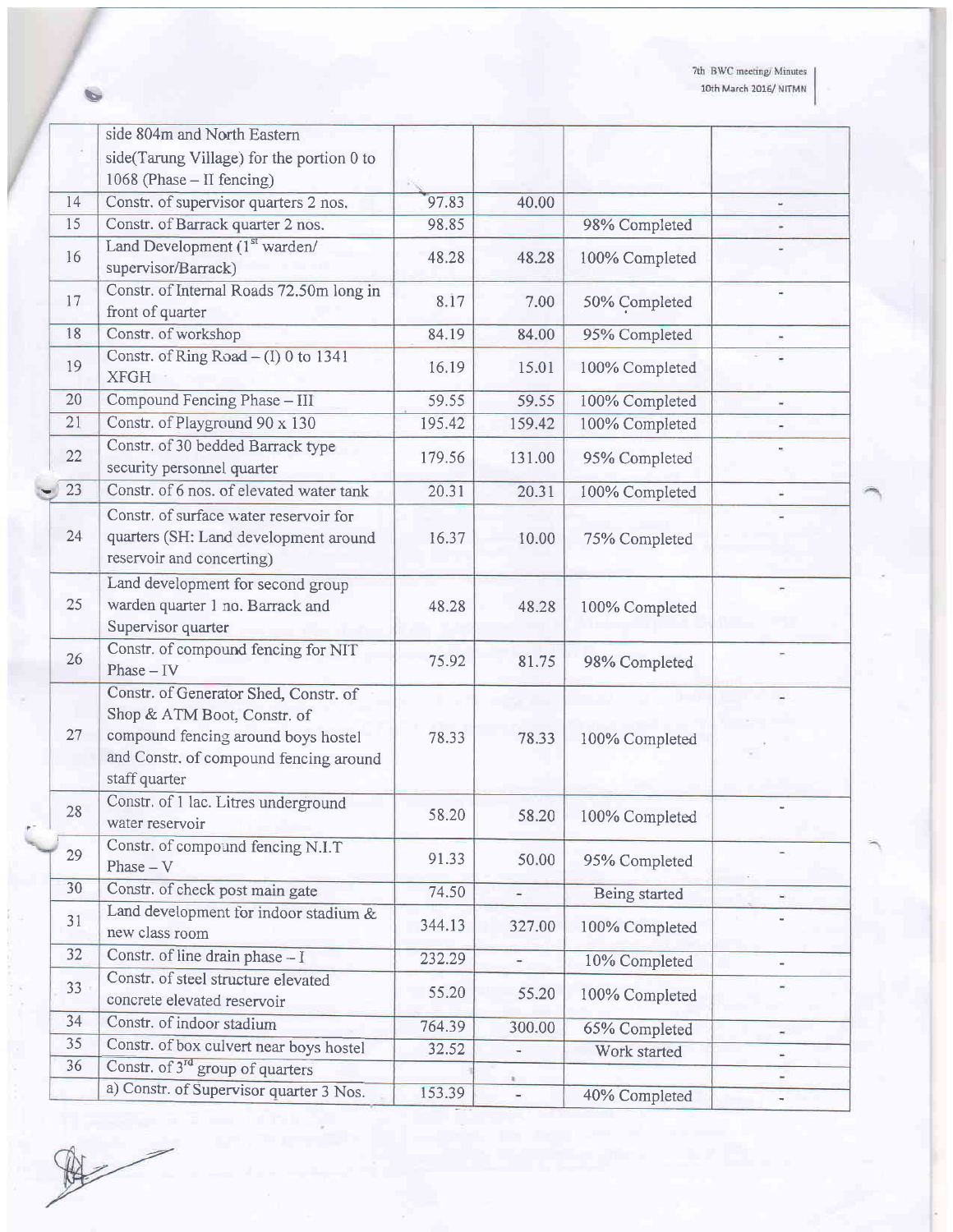| side 804m and North Eastern                  |                                                                                                                                                                                                                                                                                                                                                                                                                                                                                                                                                                                                                                                      |                                            |                                            |                                                                                                                                                                                            |
|----------------------------------------------|------------------------------------------------------------------------------------------------------------------------------------------------------------------------------------------------------------------------------------------------------------------------------------------------------------------------------------------------------------------------------------------------------------------------------------------------------------------------------------------------------------------------------------------------------------------------------------------------------------------------------------------------------|--------------------------------------------|--------------------------------------------|--------------------------------------------------------------------------------------------------------------------------------------------------------------------------------------------|
| side(Tarung Village) for the portion 0 to    |                                                                                                                                                                                                                                                                                                                                                                                                                                                                                                                                                                                                                                                      |                                            |                                            |                                                                                                                                                                                            |
|                                              |                                                                                                                                                                                                                                                                                                                                                                                                                                                                                                                                                                                                                                                      |                                            |                                            |                                                                                                                                                                                            |
|                                              | 97.83                                                                                                                                                                                                                                                                                                                                                                                                                                                                                                                                                                                                                                                | 40.00                                      |                                            |                                                                                                                                                                                            |
|                                              | 98.85                                                                                                                                                                                                                                                                                                                                                                                                                                                                                                                                                                                                                                                |                                            |                                            |                                                                                                                                                                                            |
|                                              |                                                                                                                                                                                                                                                                                                                                                                                                                                                                                                                                                                                                                                                      |                                            |                                            |                                                                                                                                                                                            |
| supervisor/Barrack)                          |                                                                                                                                                                                                                                                                                                                                                                                                                                                                                                                                                                                                                                                      |                                            |                                            |                                                                                                                                                                                            |
| front of quarter                             | 8.17                                                                                                                                                                                                                                                                                                                                                                                                                                                                                                                                                                                                                                                 | 7.00                                       | 50% Completed                              |                                                                                                                                                                                            |
|                                              | 84.19                                                                                                                                                                                                                                                                                                                                                                                                                                                                                                                                                                                                                                                | 84.00                                      |                                            |                                                                                                                                                                                            |
| <b>XFGH</b>                                  | 16.19                                                                                                                                                                                                                                                                                                                                                                                                                                                                                                                                                                                                                                                | 15.01                                      | 100% Completed                             |                                                                                                                                                                                            |
| Compound Fencing Phase - III                 | 59.55                                                                                                                                                                                                                                                                                                                                                                                                                                                                                                                                                                                                                                                | 59.55                                      | 100% Completed                             |                                                                                                                                                                                            |
| Constr. of Playground 90 x 130               | 195.42                                                                                                                                                                                                                                                                                                                                                                                                                                                                                                                                                                                                                                               | 159.42                                     | 100% Completed                             |                                                                                                                                                                                            |
| Constr. of 30 bedded Barrack type            | 179.56                                                                                                                                                                                                                                                                                                                                                                                                                                                                                                                                                                                                                                               | 131.00                                     | 95% Completed                              |                                                                                                                                                                                            |
| Constr. of 6 nos. of elevated water tank     | 20.31                                                                                                                                                                                                                                                                                                                                                                                                                                                                                                                                                                                                                                                | 20.31                                      |                                            | ÷.                                                                                                                                                                                         |
|                                              |                                                                                                                                                                                                                                                                                                                                                                                                                                                                                                                                                                                                                                                      |                                            |                                            |                                                                                                                                                                                            |
| quarters (SH: Land development around        | 16.37                                                                                                                                                                                                                                                                                                                                                                                                                                                                                                                                                                                                                                                | 10.00                                      | 75% Completed                              |                                                                                                                                                                                            |
|                                              |                                                                                                                                                                                                                                                                                                                                                                                                                                                                                                                                                                                                                                                      |                                            |                                            |                                                                                                                                                                                            |
| Land development for second group            |                                                                                                                                                                                                                                                                                                                                                                                                                                                                                                                                                                                                                                                      |                                            |                                            |                                                                                                                                                                                            |
| warden quarter 1 no. Barrack and             | 48.28                                                                                                                                                                                                                                                                                                                                                                                                                                                                                                                                                                                                                                                | 48.28                                      | 100% Completed                             |                                                                                                                                                                                            |
| Supervisor quarter                           |                                                                                                                                                                                                                                                                                                                                                                                                                                                                                                                                                                                                                                                      |                                            |                                            |                                                                                                                                                                                            |
| Constr. of compound fencing for NIT          |                                                                                                                                                                                                                                                                                                                                                                                                                                                                                                                                                                                                                                                      |                                            |                                            |                                                                                                                                                                                            |
|                                              |                                                                                                                                                                                                                                                                                                                                                                                                                                                                                                                                                                                                                                                      |                                            |                                            |                                                                                                                                                                                            |
|                                              |                                                                                                                                                                                                                                                                                                                                                                                                                                                                                                                                                                                                                                                      |                                            |                                            |                                                                                                                                                                                            |
|                                              |                                                                                                                                                                                                                                                                                                                                                                                                                                                                                                                                                                                                                                                      |                                            |                                            |                                                                                                                                                                                            |
|                                              |                                                                                                                                                                                                                                                                                                                                                                                                                                                                                                                                                                                                                                                      |                                            | 100% Completed                             |                                                                                                                                                                                            |
|                                              |                                                                                                                                                                                                                                                                                                                                                                                                                                                                                                                                                                                                                                                      |                                            |                                            |                                                                                                                                                                                            |
|                                              |                                                                                                                                                                                                                                                                                                                                                                                                                                                                                                                                                                                                                                                      |                                            |                                            |                                                                                                                                                                                            |
|                                              | 58.20                                                                                                                                                                                                                                                                                                                                                                                                                                                                                                                                                                                                                                                | 58.20                                      | 100% Completed                             |                                                                                                                                                                                            |
|                                              |                                                                                                                                                                                                                                                                                                                                                                                                                                                                                                                                                                                                                                                      |                                            |                                            |                                                                                                                                                                                            |
| $Phase - V$                                  | 91.33                                                                                                                                                                                                                                                                                                                                                                                                                                                                                                                                                                                                                                                | 50.00                                      | 95% Completed                              |                                                                                                                                                                                            |
| Constr. of check post main gate              | 74.50                                                                                                                                                                                                                                                                                                                                                                                                                                                                                                                                                                                                                                                | $\omega$                                   |                                            |                                                                                                                                                                                            |
| Land development for indoor stadium $&$      |                                                                                                                                                                                                                                                                                                                                                                                                                                                                                                                                                                                                                                                      |                                            |                                            |                                                                                                                                                                                            |
| new class room                               |                                                                                                                                                                                                                                                                                                                                                                                                                                                                                                                                                                                                                                                      |                                            |                                            |                                                                                                                                                                                            |
| Constr. of line drain phase - I              | 232.29                                                                                                                                                                                                                                                                                                                                                                                                                                                                                                                                                                                                                                               | $\blacksquare$                             |                                            |                                                                                                                                                                                            |
| Constr. of steel structure elevated          |                                                                                                                                                                                                                                                                                                                                                                                                                                                                                                                                                                                                                                                      |                                            |                                            |                                                                                                                                                                                            |
| concrete elevated reservoir                  |                                                                                                                                                                                                                                                                                                                                                                                                                                                                                                                                                                                                                                                      |                                            |                                            |                                                                                                                                                                                            |
| Constr. of indoor stadium                    | 764.39                                                                                                                                                                                                                                                                                                                                                                                                                                                                                                                                                                                                                                               | 300.00                                     |                                            |                                                                                                                                                                                            |
| Constr. of box culvert near boys hostel      | 32.52                                                                                                                                                                                                                                                                                                                                                                                                                                                                                                                                                                                                                                                | $\overline{\phantom{a}}$                   |                                            |                                                                                                                                                                                            |
| Constr. of 3 <sup>rd</sup> group of quarters |                                                                                                                                                                                                                                                                                                                                                                                                                                                                                                                                                                                                                                                      |                                            |                                            |                                                                                                                                                                                            |
| a) Constr. of Supervisor quarter 3 Nos.      | 153.39                                                                                                                                                                                                                                                                                                                                                                                                                                                                                                                                                                                                                                               |                                            | 40% Completed                              |                                                                                                                                                                                            |
|                                              | 1068 (Phase - II fencing)<br>Constr. of supervisor quarters 2 nos.<br>Constr. of Barrack quarter 2 nos.<br>Land Development (1st warden/<br>Constr. of Internal Roads 72.50m long in<br>Constr. of workshop<br>Constr. of Ring Road $- (I)$ 0 to 1341<br>security personnel quarter<br>Constr. of surface water reservoir for<br>reservoir and concerting)<br>Phase $-$ IV<br>Constr. of Generator Shed, Constr. of<br>Shop & ATM Boot, Constr. of<br>compound fencing around boys hostel<br>and Constr. of compound fencing around<br>staff quarter<br>Constr. of 1 lac. Litres underground<br>water reservoir<br>Constr. of compound fencing N.I.T | 48.28<br>75.92<br>78.33<br>344.13<br>55.20 | 48.28<br>81.75<br>78.33<br>327.00<br>55.20 | 98% Completed<br>100% Completed<br>95% Completed<br>100% Completed<br>98% Completed<br>Being started<br>100% Completed<br>10% Completed<br>100% Completed<br>65% Completed<br>Work started |

A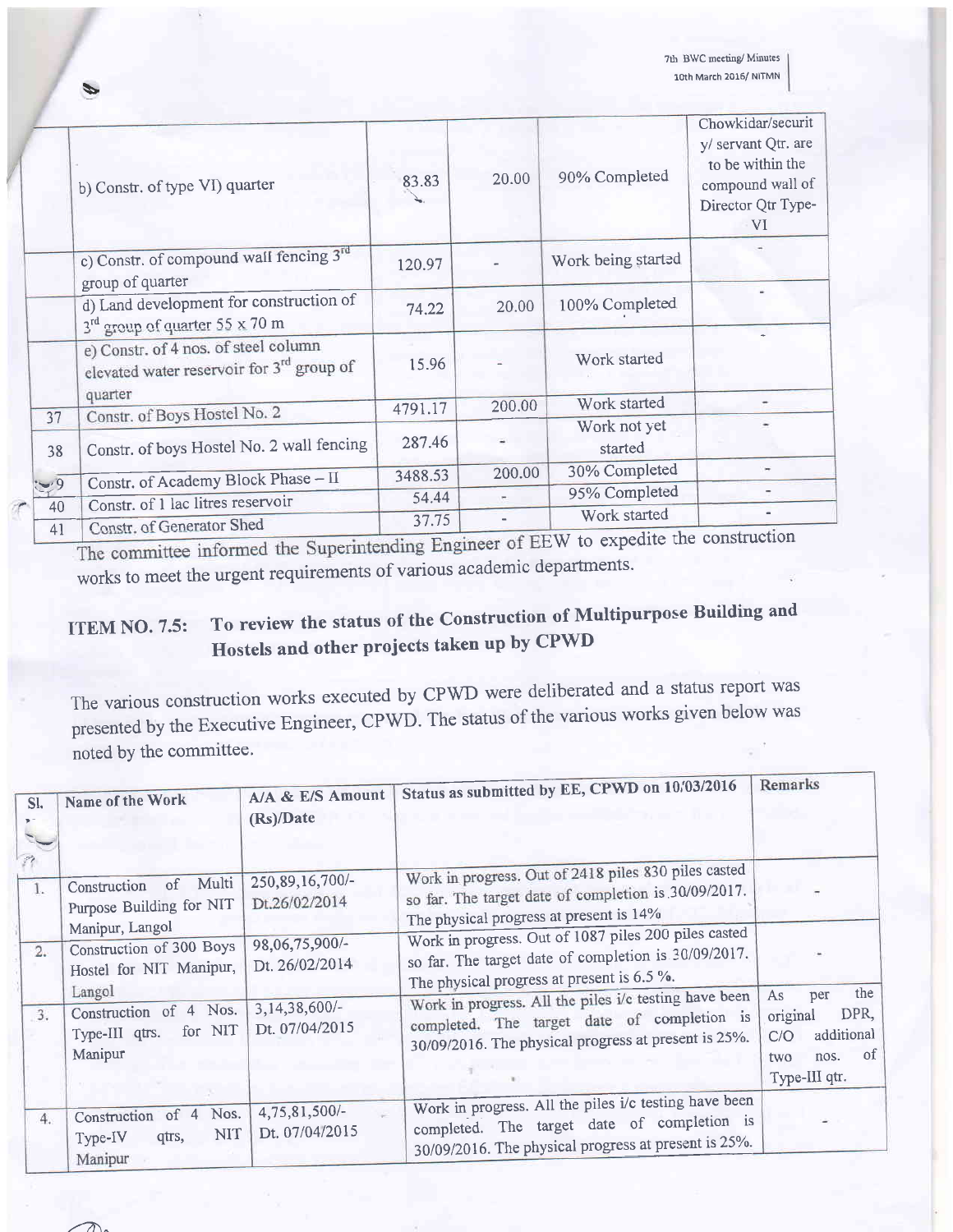|                  | b) Constr. of type VI) quarter                                                                | 83.83   | 20.00  | 90% Completed           | Chowkidar/securit<br>y/ servant Qtr. are<br>to be within the<br>compound wall of<br>Director Qtr Type-<br>VI |
|------------------|-----------------------------------------------------------------------------------------------|---------|--------|-------------------------|--------------------------------------------------------------------------------------------------------------|
|                  | c) Constr. of compound wall fencing 3rd<br>group of quarter                                   | 120.97  |        | Work being started      |                                                                                                              |
|                  | d) Land development for construction of<br>3 <sup>rd</sup> group of quarter 55 x 70 m         | 74.22   | 20.00  | 100% Completed          |                                                                                                              |
|                  | e) Constr. of 4 nos. of steel column<br>elevated water reservoir for 3 <sup>rd</sup> group of | 15.96   |        | Work started            |                                                                                                              |
|                  | quarter<br>Constr. of Boys Hostel No. 2                                                       | 4791.17 | 200.00 | Work started            |                                                                                                              |
| 37<br>38         | Constr. of boys Hostel No. 2 wall fencing                                                     | 287.46  |        | Work not yet<br>started |                                                                                                              |
|                  | Constr. of Academy Block Phase - II                                                           | 3488.53 | 200.00 | 30% Completed           |                                                                                                              |
| $-9$             | Constr. of 1 lac litres reservoir                                                             | 54.44   |        | 95% Completed           |                                                                                                              |
| 40<br>$\Delta$ 1 | Constr. of Generator Shed                                                                     | 37.75   |        | Work started            |                                                                                                              |

The committee informed the Superintending Engineer of EEW to expedite the construction works to meet the urgent requirements of various academic departments.

### To review the status of the Construction of Multipurpose Building and **ITEM NO. 7.5:** Hostels and other projects taken up by CPWD

The various construction works executed by CPWD were deliberated and a status report was presented by the Executive Engineer, CPWD. The status of the various works given below was noted by the committee.

| SI.<br>$\mathcal{P}^{\bullet}$ | Name of the Work                                                        | A/A & E/S Amount<br>(Rs)/Date      | Status as submitted by EE, CPWD on 10/03/2016                                                                                                                | Remarks                                                                     |
|--------------------------------|-------------------------------------------------------------------------|------------------------------------|--------------------------------------------------------------------------------------------------------------------------------------------------------------|-----------------------------------------------------------------------------|
| 1.                             | of Multi<br>Construction<br>Purpose Building for NIT<br>Manipur, Langol | 250,89,16,700/-<br>Dt.26/02/2014   | Work in progress. Out of 2418 piles 830 piles casted<br>so far. The target date of completion is 30/09/2017.<br>The physical progress at present is 14%      |                                                                             |
| 2.                             | Construction of 300 Boys<br>Hostel for NIT Manipur,<br>Langol           | 98,06,75,900/-<br>Dt. 26/02/2014   | Work in progress. Out of 1087 piles 200 piles casted<br>so far. The target date of completion is 30/09/2017.<br>The physical progress at present is 6.5 %.   | the<br>As<br>per                                                            |
| 3.                             | Construction of 4 Nos.<br>for NIT<br>Type-III qtrs.<br>Manipur          | 3, 14, 38, 600/-<br>Dt. 07/04/2015 | Work in progress. All the piles i/c testing have been<br>completed. The target date of completion is<br>30/09/2016. The physical progress at present is 25%. | DPR,<br>original<br>additional<br>C/O<br>of<br>nos.<br>two<br>Type-III qtr. |
| 4.                             | Nos.<br>Construction of 4<br>NIT<br>Type-IV<br>qtrs,<br>Manipur         | 4,75,81,500/-<br>Dt. 07/04/2015    | Work in progress. All the piles i/c testing have been<br>completed. The target date of completion is<br>30/09/2016. The physical progress at present is 25%. |                                                                             |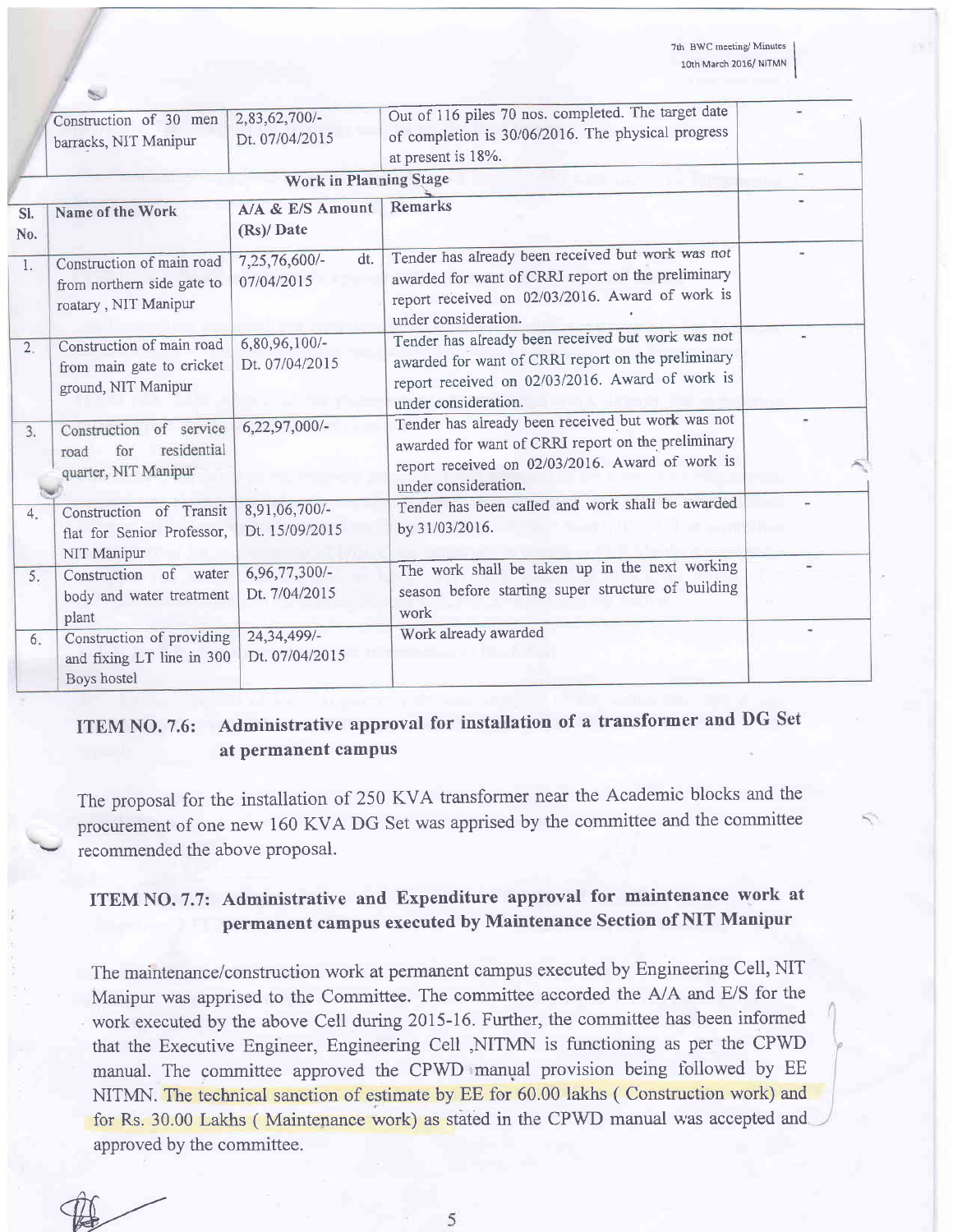7th BWC meeting/Minutes loth March 2016/ NITMN

I

S.

|            | Construction of 30 men<br>barracks, NIT Manipur                                 | 2,83,62,700/-<br>Dt. 07/04/2015    | Out of 116 piles 70 nos. completed. The target date<br>of completion is 30/06/2016. The physical progress<br>at present is 18%.                                                    |  |  |  |  |
|------------|---------------------------------------------------------------------------------|------------------------------------|------------------------------------------------------------------------------------------------------------------------------------------------------------------------------------|--|--|--|--|
|            |                                                                                 | <b>Work in Planning Stage</b>      |                                                                                                                                                                                    |  |  |  |  |
| Sl.<br>No. | Name of the Work                                                                | A/A & E/S Amount<br>(Rs)/ Date     | <b>Remarks</b>                                                                                                                                                                     |  |  |  |  |
| 1.         | Construction of main road<br>from northern side gate to<br>roatary, NIT Manipur | dt.<br>7,25,76,600/-<br>07/04/2015 | Tender has already been received but work was not<br>awarded for want of CRRI report on the preliminary<br>report received on 02/03/2016. Award of work is<br>under consideration. |  |  |  |  |
| 2.         | Construction of main road<br>from main gate to cricket<br>ground, NIT Manipur   | $6,80,96,100/-$<br>Dt. 07/04/2015  | Tender has already been received but work was not<br>awarded for want of CRRI report on the preliminary<br>report received on 02/03/2016. Award of work is<br>under consideration. |  |  |  |  |
| 3.         | Construction of service<br>residential<br>for<br>road<br>quarter, NIT Manipur   | $6,22,97,000/-$                    | Tender has already been received but work was not<br>awarded for want of CRRI report on the preliminary<br>report received on 02/03/2016. Award of work is<br>under consideration. |  |  |  |  |
| 4.         | Construction of Transit<br>flat for Senior Professor,<br>NIT Manipur            | 8,91,06,700/-<br>Dt. 15/09/2015    | Tender has been called and work shall be awarded<br>by 31/03/2016.                                                                                                                 |  |  |  |  |
| 5.         | Construction of water<br>body and water treatment<br>plant                      | $6,96,77,300/-$<br>Dt. 7/04/2015   | The work shall be taken up in the next working<br>season before starting super structure of building<br>work                                                                       |  |  |  |  |
| 6.         | Construction of providing<br>and fixing LT line in 300<br>Boys hostel           | 24, 34, 499/-<br>Dt. 07/04/2015    | Work already awarded                                                                                                                                                               |  |  |  |  |

### ITEM NO. 7.6: Administrative approval for installation of a transformer and DG Set at permanent campus

The proposal for the installation of 250 KVA transformer near the Academic blocks and the procurement of one new 160 KVA DG Set was apprised by the committee and the committee recommended the above proposal.

### ITEM NO. 7.7: Administrative and Expenditure approval for maintenance work at permanent campus executed by Maintenance Section of NIT Manipur

The maintenance/construction work at permanent campus executed by Engineering Cell, NIT Manipur was apprised to the Committee. The committee accorded the A/A and E/S for the work executed by the above Cell during 2015-16. Further, the committee has been informed that the Executive Engineer, Engineering Cell ,NITMN is functioning as per the CPWD manual. The committee approved the CPWD manual provision being tollowed by EE NITMN. The technical sanction of estimate by EE for 60.00 lakhs ( Construction work) and for Rs. 30.00 Lakhs (Maintenance work) as stated in the CPWD manual was accepted and approved by the committee.

 $\not\!\!\!\!\!$